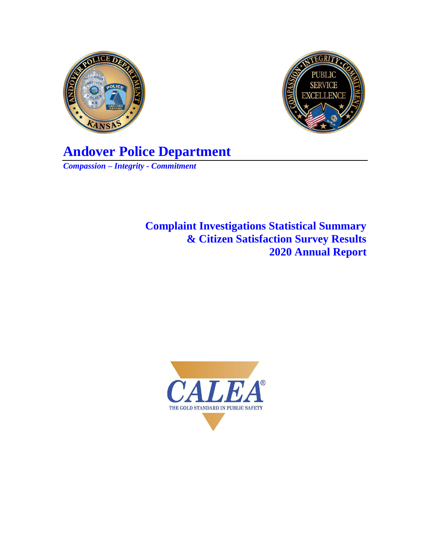



**Andover Police Department** *Compassion – Integrity - Commitment*

> **Complaint Investigations Statistical Summary & Citizen Satisfaction Survey Results 2020 Annual Report**

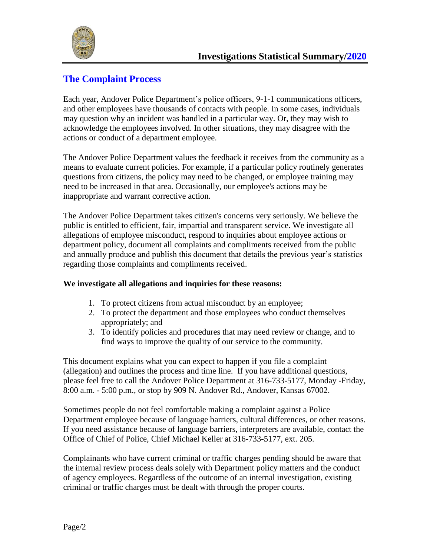

# **The Complaint Process**

Each year, Andover Police Department's police officers, 9-1-1 communications officers, and other employees have thousands of contacts with people. In some cases, individuals may question why an incident was handled in a particular way. Or, they may wish to acknowledge the employees involved. In other situations, they may disagree with the actions or conduct of a department employee.

The Andover Police Department values the feedback it receives from the community as a means to evaluate current policies. For example, if a particular policy routinely generates questions from citizens, the policy may need to be changed, or employee training may need to be increased in that area. Occasionally, our employee's actions may be inappropriate and warrant corrective action.

The Andover Police Department takes citizen's concerns very seriously. We believe the public is entitled to efficient, fair, impartial and transparent service. We investigate all allegations of employee misconduct, respond to inquiries about employee actions or department policy, document all complaints and compliments received from the public and annually produce and publish this document that details the previous year's statistics regarding those complaints and compliments received.

#### **We investigate all allegations and inquiries for these reasons:**

- 1. To protect citizens from actual misconduct by an employee;
- 2. To protect the department and those employees who conduct themselves appropriately; and
- 3. To identify policies and procedures that may need review or change, and to find ways to improve the quality of our service to the community.

This document explains what you can expect to happen if you file a complaint (allegation) and outlines the process and time line. If you have additional questions, please feel free to call the Andover Police Department at 316-733-5177, Monday -Friday, 8:00 a.m. - 5:00 p.m., or stop by 909 N. Andover Rd., Andover, Kansas 67002.

Sometimes people do not feel comfortable making a complaint against a Police Department employee because of language barriers, cultural differences, or other reasons. If you need assistance because of language barriers, interpreters are available, contact the Office of Chief of Police, Chief Michael Keller at 316-733-5177, ext. 205.

Complainants who have current criminal or traffic charges pending should be aware that the internal review process deals solely with Department policy matters and the conduct of agency employees. Regardless of the outcome of an internal investigation, existing criminal or traffic charges must be dealt with through the proper courts.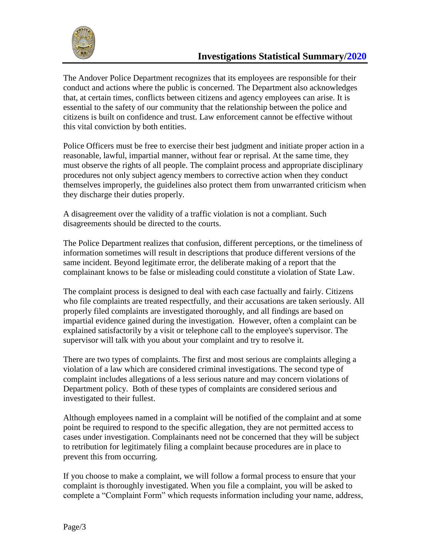

The Andover Police Department recognizes that its employees are responsible for their conduct and actions where the public is concerned. The Department also acknowledges that, at certain times, conflicts between citizens and agency employees can arise. It is essential to the safety of our community that the relationship between the police and citizens is built on confidence and trust. Law enforcement cannot be effective without this vital conviction by both entities.

Police Officers must be free to exercise their best judgment and initiate proper action in a reasonable, lawful, impartial manner, without fear or reprisal. At the same time, they must observe the rights of all people. The complaint process and appropriate disciplinary procedures not only subject agency members to corrective action when they conduct themselves improperly, the guidelines also protect them from unwarranted criticism when they discharge their duties properly.

A disagreement over the validity of a traffic violation is not a compliant. Such disagreements should be directed to the courts.

The Police Department realizes that confusion, different perceptions, or the timeliness of information sometimes will result in descriptions that produce different versions of the same incident. Beyond legitimate error, the deliberate making of a report that the complainant knows to be false or misleading could constitute a violation of State Law.

The complaint process is designed to deal with each case factually and fairly. Citizens who file complaints are treated respectfully, and their accusations are taken seriously. All properly filed complaints are investigated thoroughly, and all findings are based on impartial evidence gained during the investigation. However, often a complaint can be explained satisfactorily by a visit or telephone call to the employee's supervisor. The supervisor will talk with you about your complaint and try to resolve it.

There are two types of complaints. The first and most serious are complaints alleging a violation of a law which are considered criminal investigations. The second type of complaint includes allegations of a less serious nature and may concern violations of Department policy. Both of these types of complaints are considered serious and investigated to their fullest.

Although employees named in a complaint will be notified of the complaint and at some point be required to respond to the specific allegation, they are not permitted access to cases under investigation. Complainants need not be concerned that they will be subject to retribution for legitimately filing a complaint because procedures are in place to prevent this from occurring.

If you choose to make a complaint, we will follow a formal process to ensure that your complaint is thoroughly investigated. When you file a complaint, you will be asked to complete a "Complaint Form" which requests information including your name, address,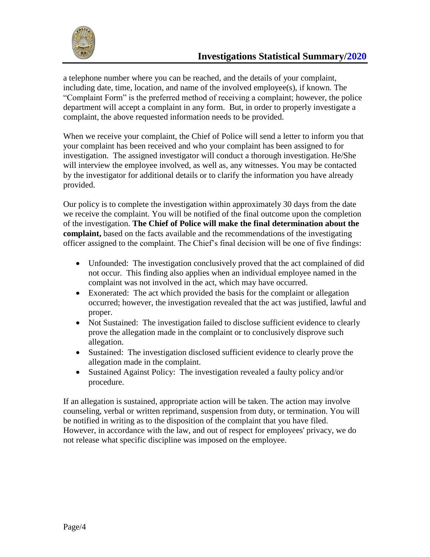

a telephone number where you can be reached, and the details of your complaint, including date, time, location, and name of the involved employee(s), if known. The "Complaint Form" is the preferred method of receiving a complaint; however, the police department will accept a complaint in any form. But, in order to properly investigate a complaint, the above requested information needs to be provided.

When we receive your complaint, the Chief of Police will send a letter to inform you that your complaint has been received and who your complaint has been assigned to for investigation. The assigned investigator will conduct a thorough investigation. He/She will interview the employee involved, as well as, any witnesses. You may be contacted by the investigator for additional details or to clarify the information you have already provided.

Our policy is to complete the investigation within approximately 30 days from the date we receive the complaint. You will be notified of the final outcome upon the completion of the investigation. **The Chief of Police will make the final determination about the complaint,** based on the facts available and the recommendations of the investigating officer assigned to the complaint. The Chief's final decision will be one of five findings:

- Unfounded: The investigation conclusively proved that the act complained of did not occur. This finding also applies when an individual employee named in the complaint was not involved in the act, which may have occurred.
- Exonerated: The act which provided the basis for the complaint or allegation occurred; however, the investigation revealed that the act was justified, lawful and proper.
- Not Sustained: The investigation failed to disclose sufficient evidence to clearly prove the allegation made in the complaint or to conclusively disprove such allegation.
- Sustained: The investigation disclosed sufficient evidence to clearly prove the allegation made in the complaint.
- Sustained Against Policy: The investigation revealed a faulty policy and/or procedure.

If an allegation is sustained, appropriate action will be taken. The action may involve counseling, verbal or written reprimand, suspension from duty, or termination. You will be notified in writing as to the disposition of the complaint that you have filed. However, in accordance with the law, and out of respect for employees' privacy, we do not release what specific discipline was imposed on the employee.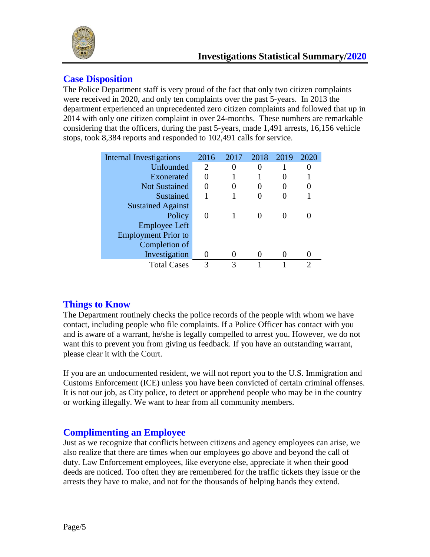

#### **Case Disposition**

The Police Department staff is very proud of the fact that only two citizen complaints were received in 2020, and only ten complaints over the past 5-years. In 2013 the department experienced an unprecedented zero citizen complaints and followed that up in 2014 with only one citizen complaint in over 24-months. These numbers are remarkable considering that the officers, during the past 5-years, made 1,491 arrests, 16,156 vehicle stops, took 8,384 reports and responded to 102,491 calls for service.

| Internal Investigations    | 2016         | 2017 | 2018 | 2019 | 2020 |
|----------------------------|--------------|------|------|------|------|
| Unfounded                  | 2            |      |      |      |      |
| Exonerated                 | $\mathbf{0}$ |      |      |      |      |
| <b>Not Sustained</b>       |              |      |      | O    |      |
| Sustained                  |              |      |      |      |      |
| <b>Sustained Against</b>   |              |      |      |      |      |
| Policy                     |              |      |      |      |      |
| <b>Employee Left</b>       |              |      |      |      |      |
| <b>Employment Prior to</b> |              |      |      |      |      |
| Completion of              |              |      |      |      |      |
| Investigation              |              |      |      |      |      |
| <b>Total Cases</b>         | 3            |      |      |      |      |

## **Things to Know**

The Department routinely checks the police records of the people with whom we have contact, including people who file complaints. If a Police Officer has contact with you and is aware of a warrant, he/she is legally compelled to arrest you. However, we do not want this to prevent you from giving us feedback. If you have an outstanding warrant, please clear it with the Court.

If you are an undocumented resident, we will not report you to the U.S. Immigration and Customs Enforcement (ICE) unless you have been convicted of certain criminal offenses. It is not our job, as City police, to detect or apprehend people who may be in the country or working illegally. We want to hear from all community members.

## **Complimenting an Employee**

Just as we recognize that conflicts between citizens and agency employees can arise, we also realize that there are times when our employees go above and beyond the call of duty. Law Enforcement employees, like everyone else, appreciate it when their good deeds are noticed. Too often they are remembered for the traffic tickets they issue or the arrests they have to make, and not for the thousands of helping hands they extend.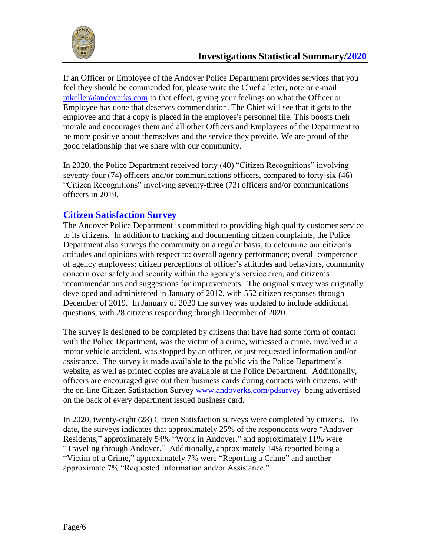

If an Officer or Employee of the Andover Police Department provides services that you feel they should be commended for, please write the Chief a letter, note or e-mail [mkeller@andoverks.com](mailto:mkeller@andoverks.com) to that effect, giving your feelings on what the Officer or Employee has done that deserves commendation. The Chief will see that it gets to the employee and that a copy is placed in the employee's personnel file. This boosts their morale and encourages them and all other Officers and Employees of the Department to be more positive about themselves and the service they provide. We are proud of the good relationship that we share with our community.

In 2020, the Police Department received forty (40) "Citizen Recognitions" involving seventy-four (74) officers and/or communications officers, compared to forty-six (46) "Citizen Recognitions" involving seventy-three (73) officers and/or communications officers in 2019.

## **Citizen Satisfaction Survey**

The Andover Police Department is committed to providing high quality customer service to its citizens. In addition to tracking and documenting citizen complaints, the Police Department also surveys the community on a regular basis, to determine our citizen's attitudes and opinions with respect to: overall agency performance; overall competence of agency employees; citizen perceptions of officer's attitudes and behaviors, community concern over safety and security within the agency's service area, and citizen's recommendations and suggestions for improvements. The original survey was originally developed and administered in January of 2012, with 552 citizen responses through December of 2019. In January of 2020 the survey was updated to include additional questions, with 28 citizens responding through December of 2020.

The survey is designed to be completed by citizens that have had some form of contact with the Police Department, was the victim of a crime, witnessed a crime, involved in a motor vehicle accident, was stopped by an officer, or just requested information and/or assistance. The survey is made available to the public via the Police Department's website, as well as printed copies are available at the Police Department. Additionally, officers are encouraged give out their business cards during contacts with citizens, with the on-line Citizen Satisfaction Survey [www.andoverks.com/pdsurvey](http://www.andoverks.com/pdsurvey) being advertised on the back of every department issued business card.

In 2020, twenty-eight (28) Citizen Satisfaction surveys were completed by citizens. To date, the surveys indicates that approximately 25% of the respondents were "Andover Residents," approximately 54% "Work in Andover," and approximately 11% were "Traveling through Andover." Additionally, approximately 14% reported being a "Victim of a Crime," approximately 7% were "Reporting a Crime" and another approximate 7% "Requested Information and/or Assistance."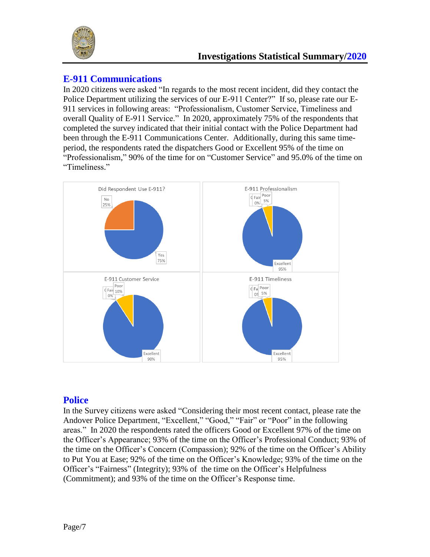

#### **E-911 Communications**

In 2020 citizens were asked "In regards to the most recent incident, did they contact the Police Department utilizing the services of our E-911 Center?" If so, please rate our E-911 services in following areas: "Professionalism, Customer Service, Timeliness and overall Quality of E-911 Service." In 2020, approximately 75% of the respondents that completed the survey indicated that their initial contact with the Police Department had been through the E-911 Communications Center. Additionally, during this same timeperiod, the respondents rated the dispatchers Good or Excellent 95% of the time on "Professionalism," 90% of the time for on "Customer Service" and 95.0% of the time on "Timeliness."



## **Police**

In the Survey citizens were asked "Considering their most recent contact, please rate the Andover Police Department, "Excellent," "Good," "Fair" or "Poor" in the following areas." In 2020 the respondents rated the officers Good or Excellent 97% of the time on the Officer's Appearance; 93% of the time on the Officer's Professional Conduct; 93% of the time on the Officer's Concern (Compassion); 92% of the time on the Officer's Ability to Put You at Ease; 92% of the time on the Officer's Knowledge; 93% of the time on the Officer's "Fairness" (Integrity); 93% of the time on the Officer's Helpfulness (Commitment); and 93% of the time on the Officer's Response time.